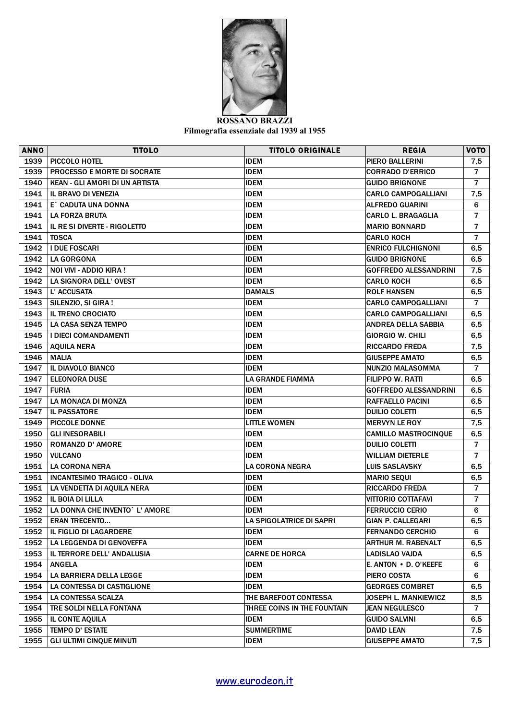

## **ROSSANO BRAZZI Filmografia essenziale dal 1939 al 1955**

| 1939<br><b>IDEM</b><br>PIERO BALLERINI<br>PICCOLO HOTEL<br>7,5<br>1939<br><b>PROCESSO E MORTE DI SOCRATE</b><br><b>IDEM</b><br>$\overline{7}$<br><b>CORRADO D'ERRICO</b><br>1940<br><b>IDEM</b><br><b>KEAN - GLI AMORI DI UN ARTISTA</b><br><b>GUIDO BRIGNONE</b><br>$\overline{7}$<br>1941<br><b>IL BRAVO DI VENEZIA</b><br><b>IDEM</b><br><b>CARLO CAMPOGALLIANI</b><br>7,5<br>1941<br>E` CADUTA UNA DONNA<br><b>IDEM</b><br><b>ALFREDO GUARINI</b><br>6<br>$\overline{7}$<br>1941<br><b>LA FORZA BRUTA</b><br><b>IDEM</b><br><b>CARLO L. BRAGAGLIA</b><br>1941<br>IL RE SI DIVERTE - RIGOLETTO<br>$\overline{7}$<br><b>IDEM</b><br><b>MARIO BONNARD</b><br>$\overline{7}$<br>1941<br><b>CARLO KOCH</b><br><b>TOSCA</b><br><b>IDEM</b><br>1942<br><b>I DUE FOSCARI</b><br><b>IDEM</b><br><b>ENRICO FULCHIGNONI</b><br>6,5<br>1942<br><b>LA GORGONA</b><br><b>IDEM</b><br><b>GUIDO BRIGNONE</b><br>6,5<br>1942<br>NOI VIVI - ADDIO KIRA!<br><b>IDEM</b><br><b>GOFFREDO ALESSANDRINI</b><br>7,5<br>LA SIGNORA DELL' OVEST<br>1942<br><b>IDEM</b><br><b>CARLO KOCH</b><br>6,5<br>1943<br><b>DAMALS</b><br>L' ACCUSATA<br><b>ROLF HANSEN</b><br>6,5<br>$\overline{7}$<br>1943<br>SILENZIO, SI GIRA!<br><b>IDEM</b><br><b>CARLO CAMPOGALLIANI</b><br>1943<br><b>IL TRENO CROCIATO</b><br><b>IDEM</b><br><b>CARLO CAMPOGALLIANI</b><br>6,5<br>1945<br><b>LA CASA SENZA TEMPO</b><br><b>IDEM</b><br><b>ANDREA DELLA SABBIA</b><br>6,5<br>1945<br>I DIECI COMANDAMENTI<br><b>IDEM</b><br><b>GIORGIO W. CHILI</b><br>6,5<br>1946<br><b>IDEM</b><br><b>AQUILA NERA</b><br><b>RICCARDO FREDA</b><br>7,5<br>1946<br><b>MALIA</b><br><b>IDEM</b><br><b>GIUSEPPE AMATO</b><br>6,5<br>$\overline{7}$<br>1947<br>IL DIAVOLO BIANCO<br><b>IDEM</b><br><b>NUNZIO MALASOMMA</b><br>1947<br><b>ELEONORA DUSE</b><br>LA GRANDE FIAMMA<br><b>FILIPPO W. RATTI</b><br>6,5<br>1947<br><b>IDEM</b><br><b>FURIA</b><br><b>GOFFREDO ALESSANDRINI</b><br>6,5<br>1947<br>LA MONACA DI MONZA<br><b>IDEM</b><br>RAFFAELLO PACINI<br>6,5<br>1947<br><b>IL PASSATORE</b><br><b>IDEM</b><br><b>DUILIO COLETTI</b><br>6,5<br>1949<br><b>PICCOLE DONNE</b><br><b>LITTLE WOMEN</b><br><b>MERVYN LE ROY</b><br>7,5<br>1950<br><b>GLI INESORABILI</b><br><b>IDEM</b><br>6,5<br><b>CAMILLO MASTROCINQUE</b><br>1950<br><b>ROMANZO D' AMORE</b><br><b>IDEM</b><br><b>DUILIO COLETTI</b><br>$\overline{7}$<br>1950<br>$\overline{7}$<br><b>VULCANO</b><br><b>IDEM</b><br>WILLIAM DIETERLE<br>1951<br><b>LA CORONA NERA</b><br>LA CORONA NEGRA<br><b>LUIS SASLAVSKY</b><br>6,5<br>1951<br><b>INCANTESIMO TRAGICO - OLIVA</b><br><b>IDEM</b><br><b>MARIO SEQUI</b><br>6,5<br>1951<br>LA VENDETTA DI AQUILA NERA<br><b>IDEM</b><br>$\overline{7}$<br><b>RICCARDO FREDA</b><br>1952<br>IL BOIA DI LILLA<br><b>IDEM</b><br>$\overline{7}$<br>VITTORIO COTTAFAVI<br>1952<br>LA DONNA CHE INVENTO` L' AMORE<br><b>IDEM</b><br><b>FERRUCCIO CERIO</b><br>6<br>1952<br><b>ERAN TRECENTO</b><br><b>GIAN P. CALLEGARI</b><br>LA SPIGOLATRICE DI SAPRI<br>6,5<br>1952<br><b>IDEM</b><br>6<br>IL FIGLIO DI LAGARDERE<br><b>FERNANDO CERCHIO</b><br><b>IDEM</b><br>1952<br>LA LEGGENDA DI GENOVEFFA<br>ARTHUR M. RABENALT<br>6,5<br>1953<br>IL TERRORE DELL' ANDALUSIA<br><b>CARNE DE HORCA</b><br><b>LADISLAO VAJDA</b><br>6,5<br>1954<br><b>ANGELA</b><br><b>IDEM</b><br>E. ANTON • D. O'KEEFE<br>6<br>1954<br>LA BARRIERA DELLA LEGGE<br><b>IDEM</b><br>PIERO COSTA<br>6<br>1954<br><b>LA CONTESSA DI CASTIGLIONE</b><br><b>IDEM</b><br><b>GEORGES COMBRET</b><br>6,5<br>1954<br>LA CONTESSA SCALZA<br>THE BAREFOOT CONTESSA<br>JOSEPH L. MANKIEWICZ<br>8,5<br>1954<br><b>TRE SOLDI NELLA FONTANA</b><br><b>JEAN NEGULESCO</b><br>$\overline{7}$<br>THREE COINS IN THE FOUNTAIN<br>1955<br>IL CONTE AQUILA<br><b>IDEM</b><br><b>GUIDO SALVINI</b><br>6,5<br>1955<br><b>TEMPO D' ESTATE</b><br><b>SUMMERTIME</b><br><b>DAVID LEAN</b><br>7,5<br>1955<br><b>IDEM</b><br><b>GLI ULTIMI CINQUE MINUTI</b><br><b>GIUSEPPE AMATO</b><br>7,5 | <b>ANNO</b> | <b>TITOLO</b> | <b>TITOLO ORIGINALE</b> | <b>REGIA</b> | <b>VOTO</b> |
|------------------------------------------------------------------------------------------------------------------------------------------------------------------------------------------------------------------------------------------------------------------------------------------------------------------------------------------------------------------------------------------------------------------------------------------------------------------------------------------------------------------------------------------------------------------------------------------------------------------------------------------------------------------------------------------------------------------------------------------------------------------------------------------------------------------------------------------------------------------------------------------------------------------------------------------------------------------------------------------------------------------------------------------------------------------------------------------------------------------------------------------------------------------------------------------------------------------------------------------------------------------------------------------------------------------------------------------------------------------------------------------------------------------------------------------------------------------------------------------------------------------------------------------------------------------------------------------------------------------------------------------------------------------------------------------------------------------------------------------------------------------------------------------------------------------------------------------------------------------------------------------------------------------------------------------------------------------------------------------------------------------------------------------------------------------------------------------------------------------------------------------------------------------------------------------------------------------------------------------------------------------------------------------------------------------------------------------------------------------------------------------------------------------------------------------------------------------------------------------------------------------------------------------------------------------------------------------------------------------------------------------------------------------------------------------------------------------------------------------------------------------------------------------------------------------------------------------------------------------------------------------------------------------------------------------------------------------------------------------------------------------------------------------------------------------------------------------------------------------------------------------------------------------------------------------------------------------------------------------------------------------------------------------------------------------------------------------------------------------------------------------------------------------------------------------------------------------------------------------------------------------------------------------------------------------------------------------------------------------------------------------------------------------------------------------------------------------------------------------------------------------------------------------------------------------------------------------------------------------------------------------------------------------------------------------------------------------------------------|-------------|---------------|-------------------------|--------------|-------------|
|                                                                                                                                                                                                                                                                                                                                                                                                                                                                                                                                                                                                                                                                                                                                                                                                                                                                                                                                                                                                                                                                                                                                                                                                                                                                                                                                                                                                                                                                                                                                                                                                                                                                                                                                                                                                                                                                                                                                                                                                                                                                                                                                                                                                                                                                                                                                                                                                                                                                                                                                                                                                                                                                                                                                                                                                                                                                                                                                                                                                                                                                                                                                                                                                                                                                                                                                                                                                                                                                                                                                                                                                                                                                                                                                                                                                                                                                                                                                                                                    |             |               |                         |              |             |
|                                                                                                                                                                                                                                                                                                                                                                                                                                                                                                                                                                                                                                                                                                                                                                                                                                                                                                                                                                                                                                                                                                                                                                                                                                                                                                                                                                                                                                                                                                                                                                                                                                                                                                                                                                                                                                                                                                                                                                                                                                                                                                                                                                                                                                                                                                                                                                                                                                                                                                                                                                                                                                                                                                                                                                                                                                                                                                                                                                                                                                                                                                                                                                                                                                                                                                                                                                                                                                                                                                                                                                                                                                                                                                                                                                                                                                                                                                                                                                                    |             |               |                         |              |             |
|                                                                                                                                                                                                                                                                                                                                                                                                                                                                                                                                                                                                                                                                                                                                                                                                                                                                                                                                                                                                                                                                                                                                                                                                                                                                                                                                                                                                                                                                                                                                                                                                                                                                                                                                                                                                                                                                                                                                                                                                                                                                                                                                                                                                                                                                                                                                                                                                                                                                                                                                                                                                                                                                                                                                                                                                                                                                                                                                                                                                                                                                                                                                                                                                                                                                                                                                                                                                                                                                                                                                                                                                                                                                                                                                                                                                                                                                                                                                                                                    |             |               |                         |              |             |
|                                                                                                                                                                                                                                                                                                                                                                                                                                                                                                                                                                                                                                                                                                                                                                                                                                                                                                                                                                                                                                                                                                                                                                                                                                                                                                                                                                                                                                                                                                                                                                                                                                                                                                                                                                                                                                                                                                                                                                                                                                                                                                                                                                                                                                                                                                                                                                                                                                                                                                                                                                                                                                                                                                                                                                                                                                                                                                                                                                                                                                                                                                                                                                                                                                                                                                                                                                                                                                                                                                                                                                                                                                                                                                                                                                                                                                                                                                                                                                                    |             |               |                         |              |             |
|                                                                                                                                                                                                                                                                                                                                                                                                                                                                                                                                                                                                                                                                                                                                                                                                                                                                                                                                                                                                                                                                                                                                                                                                                                                                                                                                                                                                                                                                                                                                                                                                                                                                                                                                                                                                                                                                                                                                                                                                                                                                                                                                                                                                                                                                                                                                                                                                                                                                                                                                                                                                                                                                                                                                                                                                                                                                                                                                                                                                                                                                                                                                                                                                                                                                                                                                                                                                                                                                                                                                                                                                                                                                                                                                                                                                                                                                                                                                                                                    |             |               |                         |              |             |
|                                                                                                                                                                                                                                                                                                                                                                                                                                                                                                                                                                                                                                                                                                                                                                                                                                                                                                                                                                                                                                                                                                                                                                                                                                                                                                                                                                                                                                                                                                                                                                                                                                                                                                                                                                                                                                                                                                                                                                                                                                                                                                                                                                                                                                                                                                                                                                                                                                                                                                                                                                                                                                                                                                                                                                                                                                                                                                                                                                                                                                                                                                                                                                                                                                                                                                                                                                                                                                                                                                                                                                                                                                                                                                                                                                                                                                                                                                                                                                                    |             |               |                         |              |             |
|                                                                                                                                                                                                                                                                                                                                                                                                                                                                                                                                                                                                                                                                                                                                                                                                                                                                                                                                                                                                                                                                                                                                                                                                                                                                                                                                                                                                                                                                                                                                                                                                                                                                                                                                                                                                                                                                                                                                                                                                                                                                                                                                                                                                                                                                                                                                                                                                                                                                                                                                                                                                                                                                                                                                                                                                                                                                                                                                                                                                                                                                                                                                                                                                                                                                                                                                                                                                                                                                                                                                                                                                                                                                                                                                                                                                                                                                                                                                                                                    |             |               |                         |              |             |
|                                                                                                                                                                                                                                                                                                                                                                                                                                                                                                                                                                                                                                                                                                                                                                                                                                                                                                                                                                                                                                                                                                                                                                                                                                                                                                                                                                                                                                                                                                                                                                                                                                                                                                                                                                                                                                                                                                                                                                                                                                                                                                                                                                                                                                                                                                                                                                                                                                                                                                                                                                                                                                                                                                                                                                                                                                                                                                                                                                                                                                                                                                                                                                                                                                                                                                                                                                                                                                                                                                                                                                                                                                                                                                                                                                                                                                                                                                                                                                                    |             |               |                         |              |             |
|                                                                                                                                                                                                                                                                                                                                                                                                                                                                                                                                                                                                                                                                                                                                                                                                                                                                                                                                                                                                                                                                                                                                                                                                                                                                                                                                                                                                                                                                                                                                                                                                                                                                                                                                                                                                                                                                                                                                                                                                                                                                                                                                                                                                                                                                                                                                                                                                                                                                                                                                                                                                                                                                                                                                                                                                                                                                                                                                                                                                                                                                                                                                                                                                                                                                                                                                                                                                                                                                                                                                                                                                                                                                                                                                                                                                                                                                                                                                                                                    |             |               |                         |              |             |
|                                                                                                                                                                                                                                                                                                                                                                                                                                                                                                                                                                                                                                                                                                                                                                                                                                                                                                                                                                                                                                                                                                                                                                                                                                                                                                                                                                                                                                                                                                                                                                                                                                                                                                                                                                                                                                                                                                                                                                                                                                                                                                                                                                                                                                                                                                                                                                                                                                                                                                                                                                                                                                                                                                                                                                                                                                                                                                                                                                                                                                                                                                                                                                                                                                                                                                                                                                                                                                                                                                                                                                                                                                                                                                                                                                                                                                                                                                                                                                                    |             |               |                         |              |             |
|                                                                                                                                                                                                                                                                                                                                                                                                                                                                                                                                                                                                                                                                                                                                                                                                                                                                                                                                                                                                                                                                                                                                                                                                                                                                                                                                                                                                                                                                                                                                                                                                                                                                                                                                                                                                                                                                                                                                                                                                                                                                                                                                                                                                                                                                                                                                                                                                                                                                                                                                                                                                                                                                                                                                                                                                                                                                                                                                                                                                                                                                                                                                                                                                                                                                                                                                                                                                                                                                                                                                                                                                                                                                                                                                                                                                                                                                                                                                                                                    |             |               |                         |              |             |
|                                                                                                                                                                                                                                                                                                                                                                                                                                                                                                                                                                                                                                                                                                                                                                                                                                                                                                                                                                                                                                                                                                                                                                                                                                                                                                                                                                                                                                                                                                                                                                                                                                                                                                                                                                                                                                                                                                                                                                                                                                                                                                                                                                                                                                                                                                                                                                                                                                                                                                                                                                                                                                                                                                                                                                                                                                                                                                                                                                                                                                                                                                                                                                                                                                                                                                                                                                                                                                                                                                                                                                                                                                                                                                                                                                                                                                                                                                                                                                                    |             |               |                         |              |             |
|                                                                                                                                                                                                                                                                                                                                                                                                                                                                                                                                                                                                                                                                                                                                                                                                                                                                                                                                                                                                                                                                                                                                                                                                                                                                                                                                                                                                                                                                                                                                                                                                                                                                                                                                                                                                                                                                                                                                                                                                                                                                                                                                                                                                                                                                                                                                                                                                                                                                                                                                                                                                                                                                                                                                                                                                                                                                                                                                                                                                                                                                                                                                                                                                                                                                                                                                                                                                                                                                                                                                                                                                                                                                                                                                                                                                                                                                                                                                                                                    |             |               |                         |              |             |
|                                                                                                                                                                                                                                                                                                                                                                                                                                                                                                                                                                                                                                                                                                                                                                                                                                                                                                                                                                                                                                                                                                                                                                                                                                                                                                                                                                                                                                                                                                                                                                                                                                                                                                                                                                                                                                                                                                                                                                                                                                                                                                                                                                                                                                                                                                                                                                                                                                                                                                                                                                                                                                                                                                                                                                                                                                                                                                                                                                                                                                                                                                                                                                                                                                                                                                                                                                                                                                                                                                                                                                                                                                                                                                                                                                                                                                                                                                                                                                                    |             |               |                         |              |             |
|                                                                                                                                                                                                                                                                                                                                                                                                                                                                                                                                                                                                                                                                                                                                                                                                                                                                                                                                                                                                                                                                                                                                                                                                                                                                                                                                                                                                                                                                                                                                                                                                                                                                                                                                                                                                                                                                                                                                                                                                                                                                                                                                                                                                                                                                                                                                                                                                                                                                                                                                                                                                                                                                                                                                                                                                                                                                                                                                                                                                                                                                                                                                                                                                                                                                                                                                                                                                                                                                                                                                                                                                                                                                                                                                                                                                                                                                                                                                                                                    |             |               |                         |              |             |
|                                                                                                                                                                                                                                                                                                                                                                                                                                                                                                                                                                                                                                                                                                                                                                                                                                                                                                                                                                                                                                                                                                                                                                                                                                                                                                                                                                                                                                                                                                                                                                                                                                                                                                                                                                                                                                                                                                                                                                                                                                                                                                                                                                                                                                                                                                                                                                                                                                                                                                                                                                                                                                                                                                                                                                                                                                                                                                                                                                                                                                                                                                                                                                                                                                                                                                                                                                                                                                                                                                                                                                                                                                                                                                                                                                                                                                                                                                                                                                                    |             |               |                         |              |             |
|                                                                                                                                                                                                                                                                                                                                                                                                                                                                                                                                                                                                                                                                                                                                                                                                                                                                                                                                                                                                                                                                                                                                                                                                                                                                                                                                                                                                                                                                                                                                                                                                                                                                                                                                                                                                                                                                                                                                                                                                                                                                                                                                                                                                                                                                                                                                                                                                                                                                                                                                                                                                                                                                                                                                                                                                                                                                                                                                                                                                                                                                                                                                                                                                                                                                                                                                                                                                                                                                                                                                                                                                                                                                                                                                                                                                                                                                                                                                                                                    |             |               |                         |              |             |
|                                                                                                                                                                                                                                                                                                                                                                                                                                                                                                                                                                                                                                                                                                                                                                                                                                                                                                                                                                                                                                                                                                                                                                                                                                                                                                                                                                                                                                                                                                                                                                                                                                                                                                                                                                                                                                                                                                                                                                                                                                                                                                                                                                                                                                                                                                                                                                                                                                                                                                                                                                                                                                                                                                                                                                                                                                                                                                                                                                                                                                                                                                                                                                                                                                                                                                                                                                                                                                                                                                                                                                                                                                                                                                                                                                                                                                                                                                                                                                                    |             |               |                         |              |             |
|                                                                                                                                                                                                                                                                                                                                                                                                                                                                                                                                                                                                                                                                                                                                                                                                                                                                                                                                                                                                                                                                                                                                                                                                                                                                                                                                                                                                                                                                                                                                                                                                                                                                                                                                                                                                                                                                                                                                                                                                                                                                                                                                                                                                                                                                                                                                                                                                                                                                                                                                                                                                                                                                                                                                                                                                                                                                                                                                                                                                                                                                                                                                                                                                                                                                                                                                                                                                                                                                                                                                                                                                                                                                                                                                                                                                                                                                                                                                                                                    |             |               |                         |              |             |
|                                                                                                                                                                                                                                                                                                                                                                                                                                                                                                                                                                                                                                                                                                                                                                                                                                                                                                                                                                                                                                                                                                                                                                                                                                                                                                                                                                                                                                                                                                                                                                                                                                                                                                                                                                                                                                                                                                                                                                                                                                                                                                                                                                                                                                                                                                                                                                                                                                                                                                                                                                                                                                                                                                                                                                                                                                                                                                                                                                                                                                                                                                                                                                                                                                                                                                                                                                                                                                                                                                                                                                                                                                                                                                                                                                                                                                                                                                                                                                                    |             |               |                         |              |             |
|                                                                                                                                                                                                                                                                                                                                                                                                                                                                                                                                                                                                                                                                                                                                                                                                                                                                                                                                                                                                                                                                                                                                                                                                                                                                                                                                                                                                                                                                                                                                                                                                                                                                                                                                                                                                                                                                                                                                                                                                                                                                                                                                                                                                                                                                                                                                                                                                                                                                                                                                                                                                                                                                                                                                                                                                                                                                                                                                                                                                                                                                                                                                                                                                                                                                                                                                                                                                                                                                                                                                                                                                                                                                                                                                                                                                                                                                                                                                                                                    |             |               |                         |              |             |
|                                                                                                                                                                                                                                                                                                                                                                                                                                                                                                                                                                                                                                                                                                                                                                                                                                                                                                                                                                                                                                                                                                                                                                                                                                                                                                                                                                                                                                                                                                                                                                                                                                                                                                                                                                                                                                                                                                                                                                                                                                                                                                                                                                                                                                                                                                                                                                                                                                                                                                                                                                                                                                                                                                                                                                                                                                                                                                                                                                                                                                                                                                                                                                                                                                                                                                                                                                                                                                                                                                                                                                                                                                                                                                                                                                                                                                                                                                                                                                                    |             |               |                         |              |             |
|                                                                                                                                                                                                                                                                                                                                                                                                                                                                                                                                                                                                                                                                                                                                                                                                                                                                                                                                                                                                                                                                                                                                                                                                                                                                                                                                                                                                                                                                                                                                                                                                                                                                                                                                                                                                                                                                                                                                                                                                                                                                                                                                                                                                                                                                                                                                                                                                                                                                                                                                                                                                                                                                                                                                                                                                                                                                                                                                                                                                                                                                                                                                                                                                                                                                                                                                                                                                                                                                                                                                                                                                                                                                                                                                                                                                                                                                                                                                                                                    |             |               |                         |              |             |
|                                                                                                                                                                                                                                                                                                                                                                                                                                                                                                                                                                                                                                                                                                                                                                                                                                                                                                                                                                                                                                                                                                                                                                                                                                                                                                                                                                                                                                                                                                                                                                                                                                                                                                                                                                                                                                                                                                                                                                                                                                                                                                                                                                                                                                                                                                                                                                                                                                                                                                                                                                                                                                                                                                                                                                                                                                                                                                                                                                                                                                                                                                                                                                                                                                                                                                                                                                                                                                                                                                                                                                                                                                                                                                                                                                                                                                                                                                                                                                                    |             |               |                         |              |             |
|                                                                                                                                                                                                                                                                                                                                                                                                                                                                                                                                                                                                                                                                                                                                                                                                                                                                                                                                                                                                                                                                                                                                                                                                                                                                                                                                                                                                                                                                                                                                                                                                                                                                                                                                                                                                                                                                                                                                                                                                                                                                                                                                                                                                                                                                                                                                                                                                                                                                                                                                                                                                                                                                                                                                                                                                                                                                                                                                                                                                                                                                                                                                                                                                                                                                                                                                                                                                                                                                                                                                                                                                                                                                                                                                                                                                                                                                                                                                                                                    |             |               |                         |              |             |
|                                                                                                                                                                                                                                                                                                                                                                                                                                                                                                                                                                                                                                                                                                                                                                                                                                                                                                                                                                                                                                                                                                                                                                                                                                                                                                                                                                                                                                                                                                                                                                                                                                                                                                                                                                                                                                                                                                                                                                                                                                                                                                                                                                                                                                                                                                                                                                                                                                                                                                                                                                                                                                                                                                                                                                                                                                                                                                                                                                                                                                                                                                                                                                                                                                                                                                                                                                                                                                                                                                                                                                                                                                                                                                                                                                                                                                                                                                                                                                                    |             |               |                         |              |             |
|                                                                                                                                                                                                                                                                                                                                                                                                                                                                                                                                                                                                                                                                                                                                                                                                                                                                                                                                                                                                                                                                                                                                                                                                                                                                                                                                                                                                                                                                                                                                                                                                                                                                                                                                                                                                                                                                                                                                                                                                                                                                                                                                                                                                                                                                                                                                                                                                                                                                                                                                                                                                                                                                                                                                                                                                                                                                                                                                                                                                                                                                                                                                                                                                                                                                                                                                                                                                                                                                                                                                                                                                                                                                                                                                                                                                                                                                                                                                                                                    |             |               |                         |              |             |
|                                                                                                                                                                                                                                                                                                                                                                                                                                                                                                                                                                                                                                                                                                                                                                                                                                                                                                                                                                                                                                                                                                                                                                                                                                                                                                                                                                                                                                                                                                                                                                                                                                                                                                                                                                                                                                                                                                                                                                                                                                                                                                                                                                                                                                                                                                                                                                                                                                                                                                                                                                                                                                                                                                                                                                                                                                                                                                                                                                                                                                                                                                                                                                                                                                                                                                                                                                                                                                                                                                                                                                                                                                                                                                                                                                                                                                                                                                                                                                                    |             |               |                         |              |             |
|                                                                                                                                                                                                                                                                                                                                                                                                                                                                                                                                                                                                                                                                                                                                                                                                                                                                                                                                                                                                                                                                                                                                                                                                                                                                                                                                                                                                                                                                                                                                                                                                                                                                                                                                                                                                                                                                                                                                                                                                                                                                                                                                                                                                                                                                                                                                                                                                                                                                                                                                                                                                                                                                                                                                                                                                                                                                                                                                                                                                                                                                                                                                                                                                                                                                                                                                                                                                                                                                                                                                                                                                                                                                                                                                                                                                                                                                                                                                                                                    |             |               |                         |              |             |
|                                                                                                                                                                                                                                                                                                                                                                                                                                                                                                                                                                                                                                                                                                                                                                                                                                                                                                                                                                                                                                                                                                                                                                                                                                                                                                                                                                                                                                                                                                                                                                                                                                                                                                                                                                                                                                                                                                                                                                                                                                                                                                                                                                                                                                                                                                                                                                                                                                                                                                                                                                                                                                                                                                                                                                                                                                                                                                                                                                                                                                                                                                                                                                                                                                                                                                                                                                                                                                                                                                                                                                                                                                                                                                                                                                                                                                                                                                                                                                                    |             |               |                         |              |             |
|                                                                                                                                                                                                                                                                                                                                                                                                                                                                                                                                                                                                                                                                                                                                                                                                                                                                                                                                                                                                                                                                                                                                                                                                                                                                                                                                                                                                                                                                                                                                                                                                                                                                                                                                                                                                                                                                                                                                                                                                                                                                                                                                                                                                                                                                                                                                                                                                                                                                                                                                                                                                                                                                                                                                                                                                                                                                                                                                                                                                                                                                                                                                                                                                                                                                                                                                                                                                                                                                                                                                                                                                                                                                                                                                                                                                                                                                                                                                                                                    |             |               |                         |              |             |
|                                                                                                                                                                                                                                                                                                                                                                                                                                                                                                                                                                                                                                                                                                                                                                                                                                                                                                                                                                                                                                                                                                                                                                                                                                                                                                                                                                                                                                                                                                                                                                                                                                                                                                                                                                                                                                                                                                                                                                                                                                                                                                                                                                                                                                                                                                                                                                                                                                                                                                                                                                                                                                                                                                                                                                                                                                                                                                                                                                                                                                                                                                                                                                                                                                                                                                                                                                                                                                                                                                                                                                                                                                                                                                                                                                                                                                                                                                                                                                                    |             |               |                         |              |             |
|                                                                                                                                                                                                                                                                                                                                                                                                                                                                                                                                                                                                                                                                                                                                                                                                                                                                                                                                                                                                                                                                                                                                                                                                                                                                                                                                                                                                                                                                                                                                                                                                                                                                                                                                                                                                                                                                                                                                                                                                                                                                                                                                                                                                                                                                                                                                                                                                                                                                                                                                                                                                                                                                                                                                                                                                                                                                                                                                                                                                                                                                                                                                                                                                                                                                                                                                                                                                                                                                                                                                                                                                                                                                                                                                                                                                                                                                                                                                                                                    |             |               |                         |              |             |
|                                                                                                                                                                                                                                                                                                                                                                                                                                                                                                                                                                                                                                                                                                                                                                                                                                                                                                                                                                                                                                                                                                                                                                                                                                                                                                                                                                                                                                                                                                                                                                                                                                                                                                                                                                                                                                                                                                                                                                                                                                                                                                                                                                                                                                                                                                                                                                                                                                                                                                                                                                                                                                                                                                                                                                                                                                                                                                                                                                                                                                                                                                                                                                                                                                                                                                                                                                                                                                                                                                                                                                                                                                                                                                                                                                                                                                                                                                                                                                                    |             |               |                         |              |             |
|                                                                                                                                                                                                                                                                                                                                                                                                                                                                                                                                                                                                                                                                                                                                                                                                                                                                                                                                                                                                                                                                                                                                                                                                                                                                                                                                                                                                                                                                                                                                                                                                                                                                                                                                                                                                                                                                                                                                                                                                                                                                                                                                                                                                                                                                                                                                                                                                                                                                                                                                                                                                                                                                                                                                                                                                                                                                                                                                                                                                                                                                                                                                                                                                                                                                                                                                                                                                                                                                                                                                                                                                                                                                                                                                                                                                                                                                                                                                                                                    |             |               |                         |              |             |
|                                                                                                                                                                                                                                                                                                                                                                                                                                                                                                                                                                                                                                                                                                                                                                                                                                                                                                                                                                                                                                                                                                                                                                                                                                                                                                                                                                                                                                                                                                                                                                                                                                                                                                                                                                                                                                                                                                                                                                                                                                                                                                                                                                                                                                                                                                                                                                                                                                                                                                                                                                                                                                                                                                                                                                                                                                                                                                                                                                                                                                                                                                                                                                                                                                                                                                                                                                                                                                                                                                                                                                                                                                                                                                                                                                                                                                                                                                                                                                                    |             |               |                         |              |             |
|                                                                                                                                                                                                                                                                                                                                                                                                                                                                                                                                                                                                                                                                                                                                                                                                                                                                                                                                                                                                                                                                                                                                                                                                                                                                                                                                                                                                                                                                                                                                                                                                                                                                                                                                                                                                                                                                                                                                                                                                                                                                                                                                                                                                                                                                                                                                                                                                                                                                                                                                                                                                                                                                                                                                                                                                                                                                                                                                                                                                                                                                                                                                                                                                                                                                                                                                                                                                                                                                                                                                                                                                                                                                                                                                                                                                                                                                                                                                                                                    |             |               |                         |              |             |
|                                                                                                                                                                                                                                                                                                                                                                                                                                                                                                                                                                                                                                                                                                                                                                                                                                                                                                                                                                                                                                                                                                                                                                                                                                                                                                                                                                                                                                                                                                                                                                                                                                                                                                                                                                                                                                                                                                                                                                                                                                                                                                                                                                                                                                                                                                                                                                                                                                                                                                                                                                                                                                                                                                                                                                                                                                                                                                                                                                                                                                                                                                                                                                                                                                                                                                                                                                                                                                                                                                                                                                                                                                                                                                                                                                                                                                                                                                                                                                                    |             |               |                         |              |             |
|                                                                                                                                                                                                                                                                                                                                                                                                                                                                                                                                                                                                                                                                                                                                                                                                                                                                                                                                                                                                                                                                                                                                                                                                                                                                                                                                                                                                                                                                                                                                                                                                                                                                                                                                                                                                                                                                                                                                                                                                                                                                                                                                                                                                                                                                                                                                                                                                                                                                                                                                                                                                                                                                                                                                                                                                                                                                                                                                                                                                                                                                                                                                                                                                                                                                                                                                                                                                                                                                                                                                                                                                                                                                                                                                                                                                                                                                                                                                                                                    |             |               |                         |              |             |
|                                                                                                                                                                                                                                                                                                                                                                                                                                                                                                                                                                                                                                                                                                                                                                                                                                                                                                                                                                                                                                                                                                                                                                                                                                                                                                                                                                                                                                                                                                                                                                                                                                                                                                                                                                                                                                                                                                                                                                                                                                                                                                                                                                                                                                                                                                                                                                                                                                                                                                                                                                                                                                                                                                                                                                                                                                                                                                                                                                                                                                                                                                                                                                                                                                                                                                                                                                                                                                                                                                                                                                                                                                                                                                                                                                                                                                                                                                                                                                                    |             |               |                         |              |             |
|                                                                                                                                                                                                                                                                                                                                                                                                                                                                                                                                                                                                                                                                                                                                                                                                                                                                                                                                                                                                                                                                                                                                                                                                                                                                                                                                                                                                                                                                                                                                                                                                                                                                                                                                                                                                                                                                                                                                                                                                                                                                                                                                                                                                                                                                                                                                                                                                                                                                                                                                                                                                                                                                                                                                                                                                                                                                                                                                                                                                                                                                                                                                                                                                                                                                                                                                                                                                                                                                                                                                                                                                                                                                                                                                                                                                                                                                                                                                                                                    |             |               |                         |              |             |
|                                                                                                                                                                                                                                                                                                                                                                                                                                                                                                                                                                                                                                                                                                                                                                                                                                                                                                                                                                                                                                                                                                                                                                                                                                                                                                                                                                                                                                                                                                                                                                                                                                                                                                                                                                                                                                                                                                                                                                                                                                                                                                                                                                                                                                                                                                                                                                                                                                                                                                                                                                                                                                                                                                                                                                                                                                                                                                                                                                                                                                                                                                                                                                                                                                                                                                                                                                                                                                                                                                                                                                                                                                                                                                                                                                                                                                                                                                                                                                                    |             |               |                         |              |             |
|                                                                                                                                                                                                                                                                                                                                                                                                                                                                                                                                                                                                                                                                                                                                                                                                                                                                                                                                                                                                                                                                                                                                                                                                                                                                                                                                                                                                                                                                                                                                                                                                                                                                                                                                                                                                                                                                                                                                                                                                                                                                                                                                                                                                                                                                                                                                                                                                                                                                                                                                                                                                                                                                                                                                                                                                                                                                                                                                                                                                                                                                                                                                                                                                                                                                                                                                                                                                                                                                                                                                                                                                                                                                                                                                                                                                                                                                                                                                                                                    |             |               |                         |              |             |
|                                                                                                                                                                                                                                                                                                                                                                                                                                                                                                                                                                                                                                                                                                                                                                                                                                                                                                                                                                                                                                                                                                                                                                                                                                                                                                                                                                                                                                                                                                                                                                                                                                                                                                                                                                                                                                                                                                                                                                                                                                                                                                                                                                                                                                                                                                                                                                                                                                                                                                                                                                                                                                                                                                                                                                                                                                                                                                                                                                                                                                                                                                                                                                                                                                                                                                                                                                                                                                                                                                                                                                                                                                                                                                                                                                                                                                                                                                                                                                                    |             |               |                         |              |             |
|                                                                                                                                                                                                                                                                                                                                                                                                                                                                                                                                                                                                                                                                                                                                                                                                                                                                                                                                                                                                                                                                                                                                                                                                                                                                                                                                                                                                                                                                                                                                                                                                                                                                                                                                                                                                                                                                                                                                                                                                                                                                                                                                                                                                                                                                                                                                                                                                                                                                                                                                                                                                                                                                                                                                                                                                                                                                                                                                                                                                                                                                                                                                                                                                                                                                                                                                                                                                                                                                                                                                                                                                                                                                                                                                                                                                                                                                                                                                                                                    |             |               |                         |              |             |